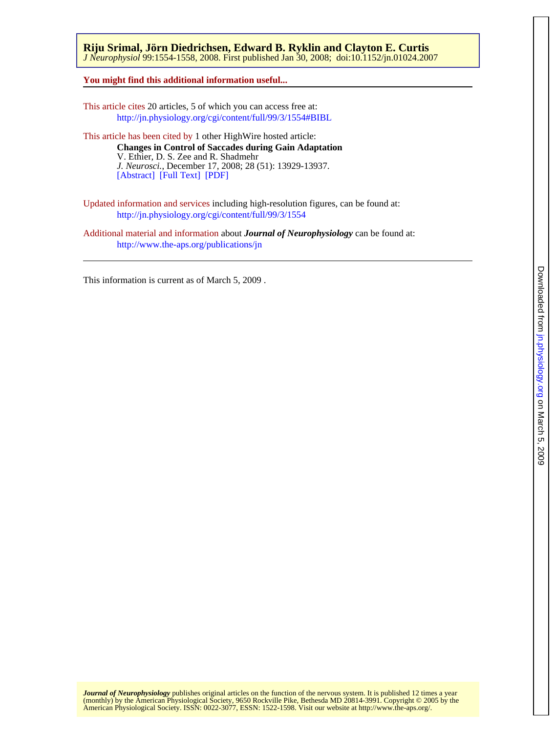## **You might find this additional information useful...**

This article cites 20 articles, 5 of which you can access free at: <http://jn.physiology.org/cgi/content/full/99/3/1554#BIBL>

This article has been cited by 1 other HighWire hosted article: [\[Abstract\]](http://www.jneurosci.org/cgi/content/abstract/28/51/13929) [\[Full Text\]](http://www.jneurosci.org/cgi/content/full/28/51/13929) [\[PDF\]](http://www.jneurosci.org/cgi/reprint/28/51/13929) *J. Neurosci.*, December 17, 2008; 28 (51): 13929-13937. V. Ethier, D. S. Zee and R. Shadmehr **Changes in Control of Saccades during Gain Adaptation**

Updated information and services including high-resolution figures, can be found at: <http://jn.physiology.org/cgi/content/full/99/3/1554>

Additional material and information about *Journal of Neurophysiology* can be found at: <http://www.the-aps.org/publications/jn>

This information is current as of March 5, 2009 .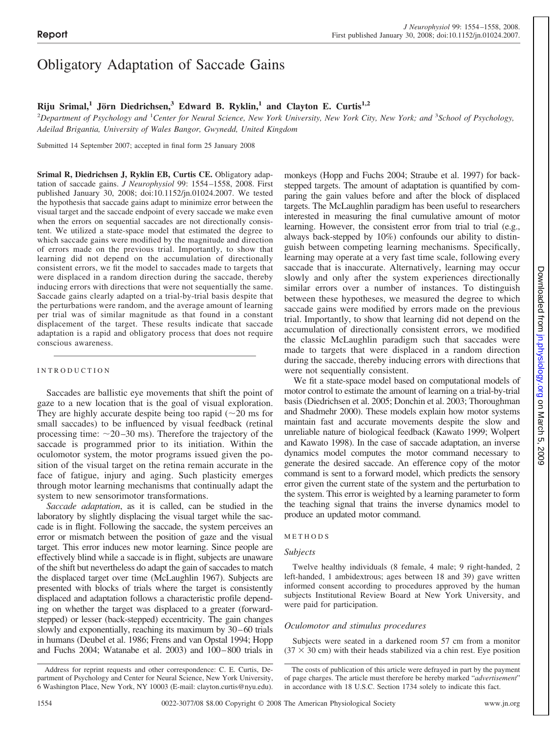# Obligatory Adaptation of Saccade Gains

# **Riju Srimal,<sup>1</sup> Jörn Diedrichsen,<sup>3</sup> Edward B. Ryklin,<sup>1</sup> and Clayton E. Curtis<sup>1,2</sup>**

<sup>2</sup>Department of Psychology and <sup>1</sup>Center for Neural Science, New York University, New York City, New York; and <sup>3</sup>School of Psychology, *Adeilad Brigantia, University of Wales Bangor, Gwynedd, United Kingdom*

Submitted 14 September 2007; accepted in final form 25 January 2008

**Srimal R, Diedrichsen J, Ryklin EB, Curtis CE.** Obligatory adaptation of saccade gains. *J Neurophysiol* 99: 1554 –1558, 2008. First published January 30, 2008; doi:10.1152/jn.01024.2007. We tested the hypothesis that saccade gains adapt to minimize error between the visual target and the saccade endpoint of every saccade we make even when the errors on sequential saccades are not directionally consistent. We utilized a state-space model that estimated the degree to which saccade gains were modified by the magnitude and direction of errors made on the previous trial. Importantly, to show that learning did not depend on the accumulation of directionally consistent errors, we fit the model to saccades made to targets that were displaced in a random direction during the saccade, thereby inducing errors with directions that were not sequentially the same. Saccade gains clearly adapted on a trial-by-trial basis despite that the perturbations were random, and the average amount of learning per trial was of similar magnitude as that found in a constant displacement of the target. These results indicate that saccade adaptation is a rapid and obligatory process that does not require conscious awareness.

### INTRODUCTION

Saccades are ballistic eye movements that shift the point of gaze to a new location that is the goal of visual exploration. They are highly accurate despite being too rapid  $(\sim 20 \text{ ms for})$ small saccades) to be influenced by visual feedback (retinal processing time:  $\sim$ 20–30 ms). Therefore the trajectory of the saccade is programmed prior to its initiation. Within the oculomotor system, the motor programs issued given the position of the visual target on the retina remain accurate in the face of fatigue, injury and aging. Such plasticity emerges through motor learning mechanisms that continually adapt the system to new sensorimotor transformations.

*Saccade adaptation*, as it is called, can be studied in the laboratory by slightly displacing the visual target while the saccade is in flight. Following the saccade, the system perceives an error or mismatch between the position of gaze and the visual target. This error induces new motor learning. Since people are effectively blind while a saccade is in flight, subjects are unaware of the shift but nevertheless do adapt the gain of saccades to match the displaced target over time (McLaughlin 1967). Subjects are presented with blocks of trials where the target is consistently displaced and adaptation follows a characteristic profile depending on whether the target was displaced to a greater (forwardstepped) or lesser (back-stepped) eccentricity. The gain changes slowly and exponentially, reaching its maximum by 30 – 60 trials in humans (Deubel et al. 1986; Frens and van Opstal 1994; Hopp and Fuchs 2004; Watanabe et al. 2003) and 100-800 trials in monkeys (Hopp and Fuchs 2004; Straube et al. 1997) for backstepped targets. The amount of adaptation is quantified by comparing the gain values before and after the block of displaced targets. The McLaughlin paradigm has been useful to researchers interested in measuring the final cumulative amount of motor learning. However, the consistent error from trial to trial (e.g., always back-stepped by 10%) confounds our ability to distinguish between competing learning mechanisms. Specifically, learning may operate at a very fast time scale, following every saccade that is inaccurate. Alternatively, learning may occur slowly and only after the system experiences directionally similar errors over a number of instances. To distinguish between these hypotheses, we measured the degree to which saccade gains were modified by errors made on the previous trial. Importantly, to show that learning did not depend on the accumulation of directionally consistent errors, we modified the classic McLaughlin paradigm such that saccades were made to targets that were displaced in a random direction during the saccade, thereby inducing errors with directions that were not sequentially consistent.

We fit a state-space model based on computational models of motor control to estimate the amount of learning on a trial-by-trial basis (Diedrichsen et al. 2005; Donchin et al. 2003; Thoroughman and Shadmehr 2000). These models explain how motor systems maintain fast and accurate movements despite the slow and unreliable nature of biological feedback (Kawato 1999; Wolpert and Kawato 1998). In the case of saccade adaptation, an inverse dynamics model computes the motor command necessary to generate the desired saccade. An efference copy of the motor command is sent to a forward model, which predicts the sensory error given the current state of the system and the perturbation to the system. This error is weighted by a learning parameter to form the teaching signal that trains the inverse dynamics model to produce an updated motor command.

# METHODS

### *Subjects*

Twelve healthy individuals (8 female, 4 male; 9 right-handed, 2 left-handed, 1 ambidextrous; ages between 18 and 39) gave written informed consent according to procedures approved by the human subjects Institutional Review Board at New York University, and were paid for participation.

# *Oculomotor and stimulus procedures*

Subjects were seated in a darkened room 57 cm from a monitor  $(37 \times 30 \text{ cm})$  with their heads stabilized via a chin rest. Eye position

Address for reprint requests and other correspondence: C. E. Curtis, Department of Psychology and Center for Neural Science, New York University, 6 Washington Place, New York, NY 10003 (E-mail: clayton.curtis@nyu.edu).

The costs of publication of this article were defrayed in part by the payment of page charges. The article must therefore be hereby marked "*advertisement*" in accordance with 18 U.S.C. Section 1734 solely to indicate this fact.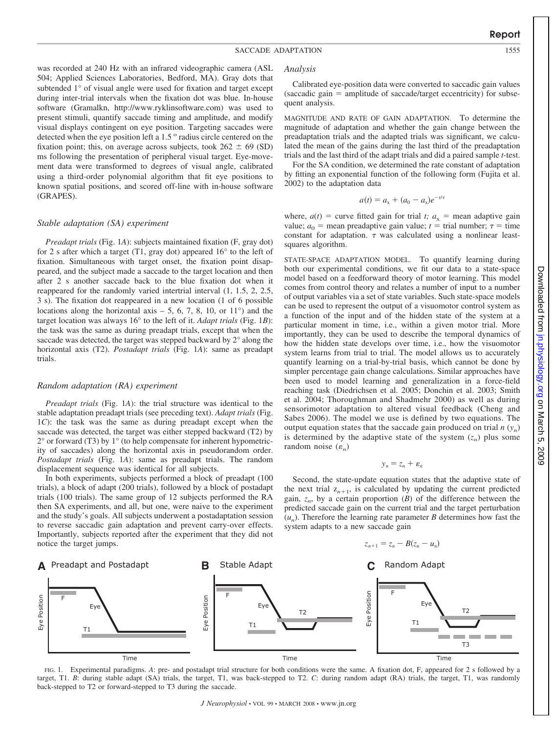was recorded at 240 Hz with an infrared videographic camera (ASL 504; Applied Sciences Laboratories, Bedford, MA). Gray dots that subtended 1° of visual angle were used for fixation and target except during inter-trial intervals when the fixation dot was blue. In-house software (Gramalkn, http://www.ryklinsoftware.com) was used to present stimuli, quantify saccade timing and amplitude, and modify visual displays contingent on eye position. Targeting saccades were detected when the eye position left a 1.5 ° radius circle centered on the fixation point; this, on average across subjects, took  $262 \pm 69$  (SD) ms following the presentation of peripheral visual target. Eye-movement data were transformed to degrees of visual angle, calibrated using a third-order polynomial algorithm that fit eye positions to known spatial positions, and scored off-line with in-house software (GRAPES).

### *Stable adaptation (SA) experiment*

*Preadapt trials* (Fig. 1*A*): subjects maintained fixation (F, gray dot) for 2 s after which a target (T1, gray dot) appeared  $16^{\circ}$  to the left of fixation. Simultaneous with target onset, the fixation point disappeared, and the subject made a saccade to the target location and then after 2 s another saccade back to the blue fixation dot when it reappeared for the randomly varied intertrial interval (1, 1.5, 2, 2.5, 3 s). The fixation dot reappeared in a new location (1 of 6 possible locations along the horizontal axis  $-5$ , 6, 7, 8, 10, or 11 $\degree$ ) and the target location was always 16° to the left of it. *Adapt trials* (Fig. 1*B*): the task was the same as during preadapt trials, except that when the saccade was detected, the target was stepped backward by 2° along the horizontal axis (T2). *Postadapt trials* (Fig. 1*A*): same as preadapt trials.

### *Random adaptation (RA) experiment*

*Preadapt trials* (Fig. 1*A*): the trial structure was identical to the stable adaptation preadapt trials (see preceding text). *Adapt trials* (Fig. 1*C*): the task was the same as during preadapt except when the saccade was detected, the target was either stepped backward (T2) by  $2^{\circ}$  or forward (T3) by  $1^{\circ}$  (to help compensate for inherent hypometricity of saccades) along the horizontal axis in pseudorandom order. *Postadapt trials* (Fig. 1*A*): same as preadapt trials. The random displacement sequence was identical for all subjects.

In both experiments, subjects performed a block of preadapt (100 trials), a block of adapt (200 trials), followed by a block of postadapt trials (100 trials). The same group of 12 subjects performed the RA then SA experiments, and all, but one, were naive to the experiment and the study's goals. All subjects underwent a postadaptation session to reverse saccadic gain adaptation and prevent carry-over effects. Importantly, subjects reported after the experiment that they did not notice the target jumps.

#### *Analysis*

Calibrated eye-position data were converted to saccadic gain values  $(saccadic gain = amplitude of saccade/target eccentricity) for subsequent$ quent analysis.

MAGNITUDE AND RATE OF GAIN ADAPTATION. To determine the magnitude of adaptation and whether the gain change between the preadaptation trials and the adapted trials was significant, we calculated the mean of the gains during the last third of the preadaptation trials and the last third of the adapt trials and did a paired sample *t*-test.

For the SA condition, we determined the rate constant of adaptation by fitting an exponential function of the following form (Fujita et al. 2002) to the adaptation data

$$
a(t) = a_{x} + (a_{0} - a_{x})e^{-t/\tau}
$$

where,  $a(t)$  = curve fitted gain for trial *t*;  $a_x$  = mean adaptive gain value;  $a_0$  = mean preadaptive gain value;  $t = \text{trial number}$ ;  $\tau = \text{time}$ constant for adaptation.  $\tau$  was calculated using a nonlinear leastsquares algorithm.

STATE-SPACE ADAPTATION MODEL. To quantify learning during both our experimental conditions, we fit our data to a state-space model based on a feedforward theory of motor learning. This model comes from control theory and relates a number of input to a number of output variables via a set of state variables. Such state-space models can be used to represent the output of a visuomotor control system as a function of the input and of the hidden state of the system at a particular moment in time, i.e., within a given motor trial. More importantly, they can be used to describe the temporal dynamics of how the hidden state develops over time, i.e., how the visuomotor system learns from trial to trial. The model allows us to accurately quantify learning on a trial-by-trial basis, which cannot be done by simpler percentage gain change calculations. Similar approaches have been used to model learning and generalization in a force-field reaching task (Diedrichsen et al. 2005; Donchin et al. 2003; Smith et al. 2004; Thoroughman and Shadmehr 2000) as well as during sensorimotor adaptation to altered visual feedback (Cheng and Sabes 2006). The model we use is defined by two equations. The output equation states that the saccade gain produced on trial  $n(y_n)$ is determined by the adaptive state of the system  $(z_n)$  plus some random noise  $(\varepsilon_n)$ 

 $y_n = z_n + \varepsilon_n$ 

Second, the state-update equation states that the adaptive state of the next trial  $z_{n+1}$ , is calculated by updating the current predicted gain,  $z_n$ , by a certain proportion (*B*) of the difference between the predicted saccade gain on the current trial and the target perturbation  $(u_n)$ . Therefore the learning rate parameter *B* determines how fast the system adapts to a new saccade gain





FIG. 1. Experimental paradigms. *A*: pre- and postadapt trial structure for both conditions were the same. A fixation dot, F, appeared for 2 s followed by a target, T1. *B*: during stable adapt (SA) trials, the target, T1, was back-stepped to T2. *C*: during random adapt (RA) trials, the target, T1, was randomly back-stepped to T2 or forward-stepped to T3 during the saccade.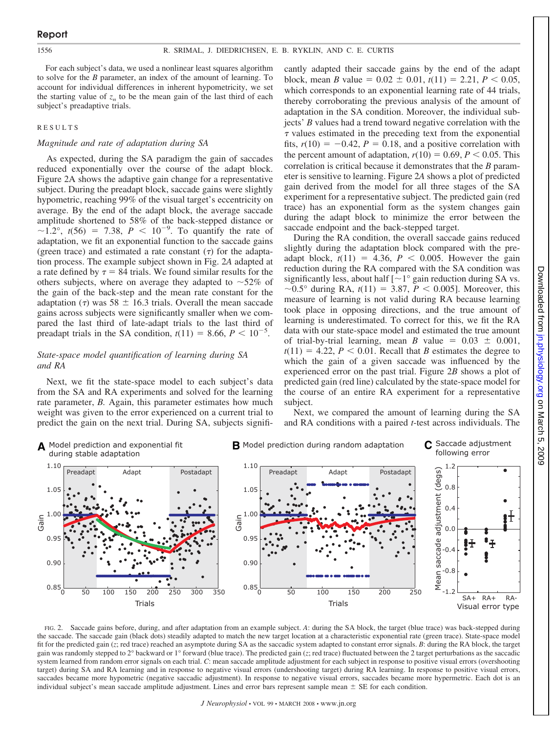For each subject's data, we used a nonlinear least squares algorithm to solve for the *B* parameter, an index of the amount of learning. To account for individual differences in inherent hypometricity, we set the starting value of  $z<sub>n</sub>$  to be the mean gain of the last third of each subject's preadaptive trials.

#### RESULTS

#### *Magnitude and rate of adaptation during SA*

As expected, during the SA paradigm the gain of saccades reduced exponentially over the course of the adapt block. Figure 2A shows the adaptive gain change for a representative subject. During the preadapt block, saccade gains were slightly hypometric, reaching 99% of the visual target's eccentricity on average. By the end of the adapt block, the average saccade amplitude shortened to 58% of the back-stepped distance or  $\sim 1.2^{\circ}$ ,  $t(56) = 7.38$ ,  $P < 10^{-9}$ . To quantify the rate of adaptation, we fit an exponential function to the saccade gains (green trace) and estimated a rate constant  $(\tau)$  for the adaptation process. The example subject shown in Fig. 2*A* adapted at a rate defined by  $\tau = 84$  trials. We found similar results for the others subjects, where on average they adapted to  $\sim$ 52% of the gain of the back-step and the mean rate constant for the adaptation ( $\tau$ ) was 58  $\pm$  16.3 trials. Overall the mean saccade gains across subjects were significantly smaller when we compared the last third of late-adapt trials to the last third of preadapt trials in the SA condition,  $t(11) = 8.66, P < 10^{-5}$ .

# *State-space model quantification of learning during SA and RA*

Next, we fit the state-space model to each subject's data from the SA and RA experiments and solved for the learning rate parameter, *B*. Again, this parameter estimates how much weight was given to the error experienced on a current trial to predict the gain on the next trial. During SA, subjects significantly adapted their saccade gains by the end of the adapt block, mean *B* value =  $0.02 \pm 0.01$ ,  $t(11) = 2.21$ ,  $P < 0.05$ , which corresponds to an exponential learning rate of 44 trials, thereby corroborating the previous analysis of the amount of adaptation in the SA condition. Moreover, the individual subjects' *B* values had a trend toward negative correlation with the  $\tau$  values estimated in the preceding text from the exponential fits,  $r(10) = -0.42$ ,  $P = 0.18$ , and a positive correlation with the percent amount of adaptation,  $r(10) = 0.69$ ,  $P \le 0.05$ . This correlation is critical because it demonstrates that the *B* parameter is sensitive to learning. Figure 2*A* shows a plot of predicted gain derived from the model for all three stages of the SA experiment for a representative subject. The predicted gain (red trace) has an exponential form as the system changes gain during the adapt block to minimize the error between the saccade endpoint and the back-stepped target.

During the RA condition, the overall saccade gains reduced slightly during the adaptation block compared with the preadapt block,  $t(11) = 4.36$ ,  $P < 0.005$ . However the gain reduction during the RA compared with the SA condition was significantly less, about half  $\lceil -1^\circ \rceil$  gain reduction during SA vs.  $\sim$ 0.5° during RA, *t*(11) = 3.87, *P* < 0.005]. Moreover, this measure of learning is not valid during RA because learning took place in opposing directions, and the true amount of learning is underestimated. To correct for this, we fit the RA data with our state-space model and estimated the true amount of trial-by-trial learning, mean *B* value =  $0.03 \pm 0.001$ ,  $t(11) = 4.22$ ,  $P < 0.01$ . Recall that *B* estimates the degree to which the gain of a given saccade was influenced by the experienced error on the past trial. Figure 2*B* shows a plot of predicted gain (red line) calculated by the state-space model for the course of an entire RA experiment for a representative subject.



Next, we compared the amount of learning during the SA and RA conditions with a paired *t*-test across individuals. The

FIG. 2. Saccade gains before, during, and after adaptation from an example subject. *A*: during the SA block, the target (blue trace) was back-stepped during the saccade. The saccade gain (black dots) steadily adapted to match the new target location at a characteristic exponential rate (green trace). State-space model fit for the predicted gain (*z*; red trace) reached an asymptote during SA as the saccadic system adapted to constant error signals. *B*: during the RA block, the target gain was randomly stepped to 2° backward or 1° forward (blue trace). The predicted gain (*z*; red trace) fluctuated between the 2 target perturbations as the saccadic system learned from random error signals on each trial. *C*: mean saccade amplitude adjustment for each subject in response to positive visual errors (overshooting target) during SA and RA learning and in response to negative visual errors (undershooting target) during RA learning. In response to positive visual errors, saccades became more hypometric (negative saccadic adjustment). In response to negative visual errors, saccades became more hypermetric. Each dot is an individual subject's mean saccade amplitude adjustment. Lines and error bars represent sample mean  $\pm$  SE for each condition.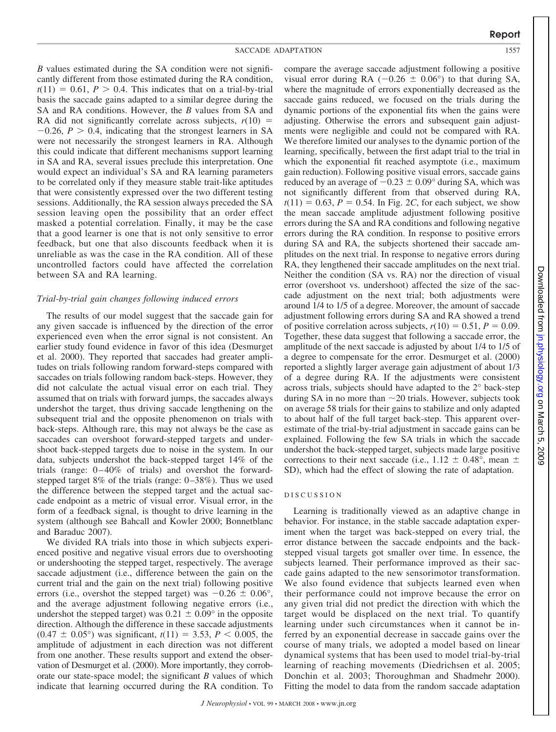*B* values estimated during the SA condition were not significantly different from those estimated during the RA condition,  $t(11) = 0.61, P > 0.4$ . This indicates that on a trial-by-trial basis the saccade gains adapted to a similar degree during the SA and RA conditions. However, the *B* values from SA and RA did not significantly correlate across subjects,  $r(10)$  =  $-0.26$ ,  $P > 0.4$ , indicating that the strongest learners in SA were not necessarily the strongest learners in RA. Although this could indicate that different mechanisms support learning in SA and RA, several issues preclude this interpretation. One would expect an individual's SA and RA learning parameters to be correlated only if they measure stable trait-like aptitudes that were consistently expressed over the two different testing sessions. Additionally, the RA session always preceded the SA session leaving open the possibility that an order effect masked a potential correlation. Finally, it may be the case that a good learner is one that is not only sensitive to error feedback, but one that also discounts feedback when it is unreliable as was the case in the RA condition. All of these uncontrolled factors could have affected the correlation between SA and RA learning.

#### *Trial-by-trial gain changes following induced errors*

The results of our model suggest that the saccade gain for any given saccade is influenced by the direction of the error experienced even when the error signal is not consistent. An earlier study found evidence in favor of this idea (Desmurget et al. 2000). They reported that saccades had greater amplitudes on trials following random forward-steps compared with saccades on trials following random back-steps. However, they did not calculate the actual visual error on each trial. They assumed that on trials with forward jumps, the saccades always undershot the target, thus driving saccade lengthening on the subsequent trial and the opposite phenomenon on trials with back-steps. Although rare, this may not always be the case as saccades can overshoot forward-stepped targets and undershoot back-stepped targets due to noise in the system. In our data, subjects undershot the back-stepped target 14% of the trials (range:  $0-40\%$  of trials) and overshot the forwardstepped target 8% of the trials (range:  $0-38\%$ ). Thus we used the difference between the stepped target and the actual saccade endpoint as a metric of visual error. Visual error, in the form of a feedback signal, is thought to drive learning in the system (although see Bahcall and Kowler 2000; Bonnetblanc and Baraduc 2007).

We divided RA trials into those in which subjects experienced positive and negative visual errors due to overshooting or undershooting the stepped target, respectively. The average saccade adjustment (i.e., difference between the gain on the current trial and the gain on the next trial) following positive errors (i.e., overshot the stepped target) was  $-0.26 \pm 0.06^{\circ}$ , and the average adjustment following negative errors (i.e., undershot the stepped target) was  $0.21 \pm 0.09^{\circ}$  in the opposite direction. Although the difference in these saccade adjustments  $(0.47 \pm 0.05^{\circ})$  was significant,  $t(11) = 3.53$ ,  $P < 0.005$ , the amplitude of adjustment in each direction was not different from one another. These results support and extend the observation of Desmurget et al. (2000). More importantly, they corroborate our state-space model; the significant *B* values of which indicate that learning occurred during the RA condition. To compare the average saccade adjustment following a positive visual error during RA  $(-0.26 \pm 0.06^{\circ})$  to that during SA, where the magnitude of errors exponentially decreased as the saccade gains reduced, we focused on the trials during the dynamic portions of the exponential fits when the gains were adjusting. Otherwise the errors and subsequent gain adjustments were negligible and could not be compared with RA. We therefore limited our analyses to the dynamic portion of the learning, specifically, between the first adapt trial to the trial in which the exponential fit reached asymptote (i.e., maximum gain reduction). Following positive visual errors, saccade gains reduced by an average of  $-0.23 \pm 0.09^{\circ}$  during SA, which was not significantly different from that observed during RA,  $t(11) = 0.63$ ,  $P = 0.54$ . In Fig. 2*C*, for each subject, we show the mean saccade amplitude adjustment following positive errors during the SA and RA conditions and following negative errors during the RA condition. In response to positive errors during SA and RA, the subjects shortened their saccade amplitudes on the next trial. In response to negative errors during RA, they lengthened their saccade amplitudes on the next trial. Neither the condition (SA vs. RA) nor the direction of visual error (overshoot vs. undershoot) affected the size of the saccade adjustment on the next trial; both adjustments were around 1/4 to 1/5 of a degree. Moreover, the amount of saccade adjustment following errors during SA and RA showed a trend of positive correlation across subjects,  $r(10) = 0.51$ ,  $P = 0.09$ . Together, these data suggest that following a saccade error, the amplitude of the next saccade is adjusted by about 1/4 to 1/5 of a degree to compensate for the error. Desmurget et al. (2000) reported a slightly larger average gain adjustment of about 1/3 of a degree during RA. If the adjustments were consistent across trials, subjects should have adapted to the 2° back-step during SA in no more than  $\sim$  20 trials. However, subjects took on average 58 trials for their gains to stabilize and only adapted to about half of the full target back-step. This apparent overestimate of the trial-by-trial adjustment in saccade gains can be explained. Following the few SA trials in which the saccade undershot the back-stepped target, subjects made large positive corrections to their next saccade (i.e.,  $1.12 \pm 0.48^{\circ}$ , mean  $\pm$ SD), which had the effect of slowing the rate of adaptation.

#### DISCUSSION

Learning is traditionally viewed as an adaptive change in behavior. For instance, in the stable saccade adaptation experiment when the target was back-stepped on every trial, the error distance between the saccade endpoints and the backstepped visual targets got smaller over time. In essence, the subjects learned. Their performance improved as their saccade gains adapted to the new sensorimotor transformation. We also found evidence that subjects learned even when their performance could not improve because the error on any given trial did not predict the direction with which the target would be displaced on the next trial. To quantify learning under such circumstances when it cannot be inferred by an exponential decrease in saccade gains over the course of many trials, we adopted a model based on linear dynamical systems that has been used to model trial-by-trial learning of reaching movements (Diedrichsen et al. 2005; Donchin et al. 2003; Thoroughman and Shadmehr 2000). Fitting the model to data from the random saccade adaptation